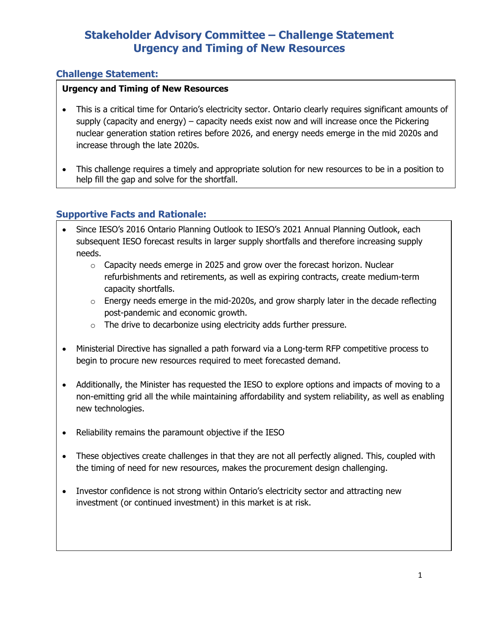# **Stakeholder Advisory Committee – Challenge Statement Urgency and Timing of New Resources**

### **Challenge Statement:**

#### **Urgency and Timing of New Resources**

- This is a critical time for Ontario's electricity sector. Ontario clearly requires significant amounts of supply (capacity and energy) – capacity needs exist now and will increase once the Pickering nuclear generation station retires before 2026, and energy needs emerge in the mid 2020s and increase through the late 2020s.
- This challenge requires a timely and appropriate solution for new resources to be in a position to help fill the gap and solve for the shortfall.

### **Supportive Facts and Rationale:**

- Since IESO's 2016 Ontario Planning Outlook to IESO's 2021 Annual Planning Outlook, each subsequent IESO forecast results in larger supply shortfalls and therefore increasing supply needs.
	- o Capacity needs emerge in 2025 and grow over the forecast horizon. Nuclear refurbishments and retirements, as well as expiring contracts, create medium-term capacity shortfalls.
	- $\circ$  Energy needs emerge in the mid-2020s, and grow sharply later in the decade reflecting post-pandemic and economic growth.
	- o The drive to decarbonize using electricity adds further pressure.
- Ministerial Directive has signalled a path forward via a Long-term RFP competitive process to begin to procure new resources required to meet forecasted demand.
- Additionally, the Minister has requested the IESO to explore options and impacts of moving to a non-emitting grid all the while maintaining affordability and system reliability, as well as enabling new technologies.
- Reliability remains the paramount objective if the IESO
- These objectives create challenges in that they are not all perfectly aligned. This, coupled with the timing of need for new resources, makes the procurement design challenging.
- Investor confidence is not strong within Ontario's electricity sector and attracting new investment (or continued investment) in this market is at risk.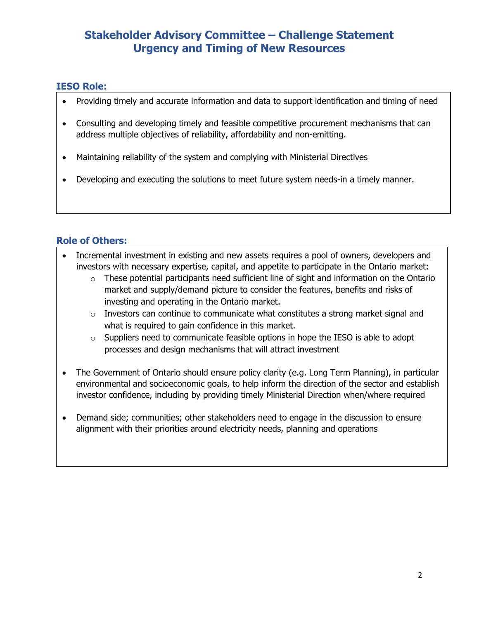# **Stakeholder Advisory Committee – Challenge Statement Urgency and Timing of New Resources**

### **IESO Role:**

- Providing timely and accurate information and data to support identification and timing of need
- Consulting and developing timely and feasible competitive procurement mechanisms that can address multiple objectives of reliability, affordability and non-emitting.
- Maintaining reliability of the system and complying with Ministerial Directives
- Developing and executing the solutions to meet future system needs-in a timely manner.

### **Role of Others:**

- Incremental investment in existing and new assets requires a pool of owners, developers and investors with necessary expertise, capital, and appetite to participate in the Ontario market:
	- $\circ$  These potential participants need sufficient line of sight and information on the Ontario market and supply/demand picture to consider the features, benefits and risks of investing and operating in the Ontario market.
	- $\circ$  Investors can continue to communicate what constitutes a strong market signal and what is required to gain confidence in this market.
	- o Suppliers need to communicate feasible options in hope the IESO is able to adopt processes and design mechanisms that will attract investment
- The Government of Ontario should ensure policy clarity (e.g. Long Term Planning), in particular environmental and socioeconomic goals, to help inform the direction of the sector and establish investor confidence, including by providing timely Ministerial Direction when/where required
- Demand side; communities; other stakeholders need to engage in the discussion to ensure alignment with their priorities around electricity needs, planning and operations